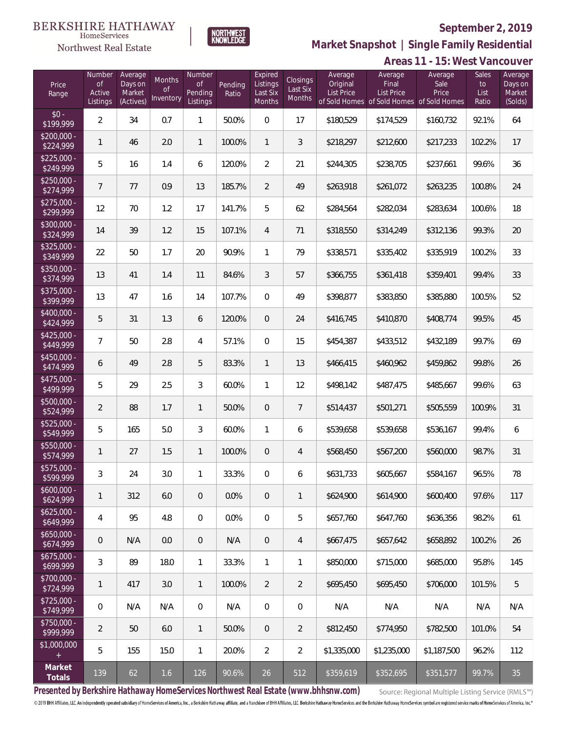

NORTHWEST<br>KNOWLFDGF

Northwest Real Estate

**Market Snapshot | Single Family Residential**

|                           | Areas 11 - 15: West Vancouver      |                                           |                                  |                                            |                  |                                           |                                       |                                          |                                                                             |                          |                                     |                                         |
|---------------------------|------------------------------------|-------------------------------------------|----------------------------------|--------------------------------------------|------------------|-------------------------------------------|---------------------------------------|------------------------------------------|-----------------------------------------------------------------------------|--------------------------|-------------------------------------|-----------------------------------------|
| Price<br>Range            | Number<br>Оf<br>Active<br>Listings | Average<br>Days on<br>Market<br>(Actives) | Months<br><b>of</b><br>Inventory | <b>Number</b><br>Οf<br>Pending<br>Listings | Pending<br>Ratio | Expired<br>Listings<br>Last Six<br>Months | <b>Closings</b><br>Last Six<br>Months | Average<br>Original<br><b>List Price</b> | Average<br>Final<br>List Price<br>of Sold Homes of Sold Homes of Sold Homes | Average<br>Sale<br>Price | <b>Sales</b><br>to<br>List<br>Ratio | Average<br>Days on<br>Market<br>(Solds) |
| $$0 -$<br>\$199,999       | $\overline{2}$                     | 34                                        | 0.7                              | $\mathbf{1}$                               | 50.0%            | $\mathbf 0$                               | 17                                    | \$180,529                                | \$174,529                                                                   | \$160,732                | 92.1%                               | 64                                      |
| $$200,000 -$<br>\$224,999 | $\mathbf{1}$                       | 46                                        | 2.0                              | $\mathbf{1}$                               | 100.0%           | $\mathbf{1}$                              | $\sqrt{3}$                            | \$218,297                                | \$212,600                                                                   | \$217,233                | 102.2%                              | 17                                      |
| $$225,000 -$<br>\$249,999 | 5                                  | 16                                        | 1.4                              | 6                                          | 120.0%           | $\overline{2}$                            | 21                                    | \$244,305                                | \$238,705                                                                   | \$237,661                | 99.6%                               | 36                                      |
| $$250,000 -$<br>\$274,999 | $\overline{7}$                     | 77                                        | 0.9                              | 13                                         | 185.7%           | $\overline{2}$                            | 49                                    | \$263,918                                | \$261,072                                                                   | \$263,235                | 100.8%                              | 24                                      |
| $$275,000 -$<br>\$299,999 | 12                                 | 70                                        | 1.2                              | 17                                         | 141.7%           | 5                                         | 62                                    | \$284,564                                | \$282,034                                                                   | \$283,634                | 100.6%                              | 18                                      |
| \$300,000 -<br>\$324,999  | 14                                 | 39                                        | 1.2                              | 15                                         | 107.1%           | $\overline{4}$                            | 71                                    | \$318,550                                | \$314,249                                                                   | \$312,136                | 99.3%                               | 20                                      |
| $$325,000 -$<br>\$349,999 | 22                                 | 50                                        | 1.7                              | 20                                         | 90.9%            | 1                                         | 79                                    | \$338,571                                | \$335,402                                                                   | \$335,919                | 100.2%                              | 33                                      |
| $$350,000 -$<br>\$374,999 | 13                                 | 41                                        | 1.4                              | 11                                         | 84.6%            | $\mathfrak{Z}$                            | 57                                    | \$366,755                                | \$361,418                                                                   | \$359,401                | 99.4%                               | 33                                      |
| $$375,000 -$<br>\$399,999 | 13                                 | 47                                        | 1.6                              | 14                                         | 107.7%           | $\boldsymbol{0}$                          | 49                                    | \$398,877                                | \$383,850                                                                   | \$385,880                | 100.5%                              | 52                                      |
| \$400,000 -<br>\$424,999  | $\mathbf 5$                        | 31                                        | 1.3                              | 6                                          | 120.0%           | $\mathbf 0$                               | 24                                    | \$416,745                                | \$410,870                                                                   | \$408,774                | 99.5%                               | 45                                      |
| $$425,000 -$<br>\$449,999 | 7                                  | 50                                        | 2.8                              | $\overline{4}$                             | 57.1%            | $\boldsymbol{0}$                          | 15                                    | \$454,387                                | \$433,512                                                                   | \$432,189                | 99.7%                               | 69                                      |
| \$450,000 -<br>\$474,999  | 6                                  | 49                                        | 2.8                              | $\mathbf 5$                                | 83.3%            | $\mathbf{1}$                              | 13                                    | \$466,415                                | \$460,962                                                                   | \$459,862                | 99.8%                               | 26                                      |
| $$475,000 -$<br>\$499,999 | 5                                  | 29                                        | 2.5                              | $\mathfrak{Z}$                             | 60.0%            | $\mathbf{1}$                              | 12                                    | \$498,142                                | \$487,475                                                                   | \$485,667                | 99.6%                               | 63                                      |
| \$500,000 -<br>\$524,999  | $\overline{2}$                     | 88                                        | 1.7                              | $\mathbf{1}$                               | 50.0%            | $\mathbf 0$                               | $\overline{7}$                        | \$514,437                                | \$501,271                                                                   | \$505,559                | 100.9%                              | 31                                      |
| \$525,000 -<br>\$549,999  | 5                                  | 165                                       | 5.0                              | $\sqrt{3}$                                 | 60.0%            | 1                                         | 6                                     | \$539,658                                | \$539,658                                                                   | \$536,167                | 99.4%                               | 6                                       |
| \$550,000 -<br>\$574,999  | 1                                  | 27                                        | 1.5                              | $\mathbf{1}$                               | 100.0%           | $\mathbf 0$                               | 4                                     | \$568,450                                | \$567,200                                                                   | \$560,000                | 98.7%                               | 31                                      |
| \$575,000 -<br>\$599,999  | 3                                  | 24                                        | 3.0                              | $\mathbf{1}$                               | 33.3%            | $\mathbf 0$                               | 6                                     | \$631,733                                | \$605,667                                                                   | \$584,167                | 96.5%                               | 78                                      |
| $$600,000 -$<br>\$624,999 | $\mathbf{1}$                       | 312                                       | 6.0                              | $\overline{0}$                             | 0.0%             | $\mathbf 0$                               | $\mathbf{1}$                          | \$624,900                                | \$614,900                                                                   | \$600,400                | 97.6%                               | 117                                     |
| $$625,000 -$<br>\$649,999 | $\overline{4}$                     | 95                                        | 4.8                              | $\boldsymbol{0}$                           | 0.0%             | $\overline{0}$                            | 5                                     | \$657,760                                | \$647,760                                                                   | \$636,356                | 98.2%                               | 61                                      |
| $$650,000 -$<br>\$674,999 | $\mathbf 0$                        | N/A                                       | 0.0                              | $\boldsymbol{0}$                           | N/A              | $\mathbf 0$                               | $\overline{4}$                        | \$667,475                                | \$657,642                                                                   | \$658,892                | 100.2%                              | 26                                      |
| $$675,000 -$<br>\$699,999 | $\mathfrak{Z}$                     | 89                                        | 18.0                             | $\mathbf{1}$                               | 33.3%            | $\mathbf{1}$                              | $\mathbf{1}$                          | \$850,000                                | \$715,000                                                                   | \$685,000                | 95.8%                               | 145                                     |
| $$700,000 -$<br>\$724,999 | $\mathbf{1}$                       | 417                                       | 3.0                              | $\mathbf{1}$                               | 100.0%           | $\overline{2}$                            | $\overline{2}$                        | \$695,450                                | \$695,450                                                                   | \$706,000                | 101.5%                              | 5                                       |
| $$725,000 -$<br>\$749,999 | $\boldsymbol{0}$                   | N/A                                       | N/A                              | $\mathbf 0$                                | N/A              | $\mathbf 0$                               | $\boldsymbol{0}$                      | N/A                                      | N/A                                                                         | N/A                      | N/A                                 | N/A                                     |
| \$750,000 -<br>\$999,999  | $\overline{2}$                     | 50                                        | 6.0                              | $\mathbf{1}$                               | 50.0%            | $\overline{0}$                            | $\overline{2}$                        | \$812,450                                | \$774,950                                                                   | \$782,500                | 101.0%                              | 54                                      |
| \$1,000,000<br>$^{+}$     | 5                                  | 155                                       | 15.0                             | $\mathbf{1}$                               | 20.0%            | $\overline{2}$                            | $\overline{2}$                        | \$1,335,000                              | \$1,235,000                                                                 | \$1,187,500              | 96.2%                               | 112                                     |
| Market<br>Totals          | 139                                | 62                                        | 1.6                              | 126                                        | 90.6%            | 26                                        | 512                                   | \$359,619                                | \$352,695                                                                   | \$351,577                | 99.7%                               | 35                                      |

**Presented by Berkshire Hathaway HomeServices Northwest Real Estate (www.bhhsnw.com)**

Source: Regional Multiple Listing Service (RMLS™)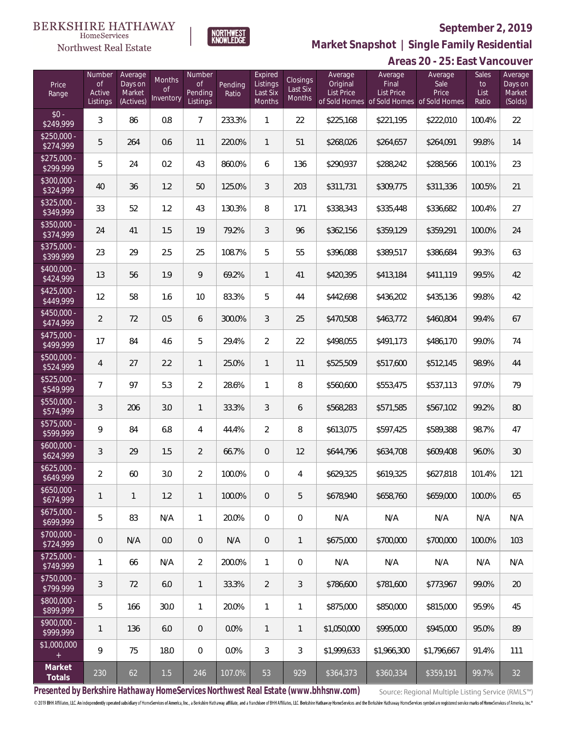# Northwest Real Estate

# **September 2, 2019**



**Market Snapshot | Single Family Residential**

# **Areas 20 - 25: East Vancouver**

| Price<br>Range            | Number<br><b>of</b><br>Active<br>Listings | Average<br>Days on<br>Market<br>(Actives) | Months<br>0f<br>Inventory | Number<br>Οf<br>Pending<br>Listings | Pending<br>Ratio | Expired<br>Listings<br>Last Six<br>Months | Closings<br>Last Six<br>Months | Average<br>Original<br><b>List Price</b> | Average<br>Final<br><b>List Price</b><br>of Sold Homes of Sold Homes of Sold Homes | Average<br>Sale<br>Price | Sales<br>to<br>List<br>Ratio | Average<br>Days on<br>Market<br>(Solds) |
|---------------------------|-------------------------------------------|-------------------------------------------|---------------------------|-------------------------------------|------------------|-------------------------------------------|--------------------------------|------------------------------------------|------------------------------------------------------------------------------------|--------------------------|------------------------------|-----------------------------------------|
| $$0 -$<br>\$249,999       | 3                                         | 86                                        | 0.8                       | $\overline{7}$                      | 233.3%           | $\mathbf{1}$                              | 22                             | \$225,168                                | \$221,195                                                                          | \$222,010                | 100.4%                       | 22                                      |
| $$250,000 -$<br>\$274,999 | 5                                         | 264                                       | 0.6                       | 11                                  | 220.0%           | $\mathbf{1}$                              | 51                             | \$268,026                                | \$264,657                                                                          | \$264,091                | 99.8%                        | 14                                      |
| $$275,000 -$<br>\$299,999 | 5                                         | 24                                        | 0.2                       | 43                                  | 860.0%           | 6                                         | 136                            | \$290,937                                | \$288,242                                                                          | \$288,566                | 100.1%                       | 23                                      |
| $$300,000 -$<br>\$324,999 | 40                                        | 36                                        | 1.2                       | 50                                  | 125.0%           | 3                                         | 203                            | \$311,731                                | \$309,775                                                                          | \$311,336                | 100.5%                       | 21                                      |
| $$325,000 -$<br>\$349,999 | 33                                        | 52                                        | 1.2                       | 43                                  | 130.3%           | 8                                         | 171                            | \$338,343                                | \$335,448                                                                          | \$336,682                | 100.4%                       | 27                                      |
| $$350,000 -$<br>\$374,999 | 24                                        | 41                                        | 1.5                       | 19                                  | 79.2%            | 3                                         | 96                             | \$362,156                                | \$359,129                                                                          | \$359,291                | 100.0%                       | 24                                      |
| $$375,000 -$<br>\$399,999 | 23                                        | 29                                        | 2.5                       | 25                                  | 108.7%           | 5                                         | 55                             | \$396,088                                | \$389,517                                                                          | \$386,684                | 99.3%                        | 63                                      |
| $$400,000 -$<br>\$424,999 | 13                                        | 56                                        | 1.9                       | $\mathsf{Q}$                        | 69.2%            | $\mathbf{1}$                              | 41                             | \$420,395                                | \$413,184                                                                          | \$411,119                | 99.5%                        | 42                                      |
| $$425,000 -$<br>\$449,999 | 12                                        | 58                                        | 1.6                       | 10                                  | 83.3%            | 5                                         | 44                             | \$442,698                                | \$436,202                                                                          | \$435,136                | 99.8%                        | 42                                      |
| $$450,000 -$<br>\$474,999 | $\overline{2}$                            | 72                                        | 0.5                       | 6                                   | 300.0%           | 3                                         | 25                             | \$470,508                                | \$463,772                                                                          | \$460,804                | 99.4%                        | 67                                      |
| \$475,000 -<br>\$499,999  | 17                                        | 84                                        | 4.6                       | 5                                   | 29.4%            | $\overline{2}$                            | 22                             | \$498,055                                | \$491,173                                                                          | \$486,170                | 99.0%                        | 74                                      |
| $$500,000 -$<br>\$524,999 | $\overline{4}$                            | 27                                        | 2.2                       | $\mathbf{1}$                        | 25.0%            | $\mathbf{1}$                              | 11                             | \$525,509                                | \$517,600                                                                          | \$512,145                | 98.9%                        | 44                                      |
| \$525,000 -<br>\$549,999  | $\overline{7}$                            | 97                                        | 5.3                       | $\overline{2}$                      | 28.6%            | $\mathbf{1}$                              | 8                              | \$560,600                                | \$553,475                                                                          | \$537,113                | 97.0%                        | 79                                      |
| $$550,000 -$<br>\$574,999 | 3                                         | 206                                       | 3.0                       | $\mathbf{1}$                        | 33.3%            | 3                                         | 6                              | \$568,283                                | \$571,585                                                                          | \$567,102                | 99.2%                        | 80                                      |
| \$575,000 -<br>\$599,999  | 9                                         | 84                                        | 6.8                       | 4                                   | 44.4%            | $\overline{2}$                            | 8                              | \$613,075                                | \$597,425                                                                          | \$589,388                | 98.7%                        | 47                                      |
| $$600,000 -$<br>\$624,999 | 3                                         | 29                                        | 1.5                       | $\overline{2}$                      | 66.7%            | $\overline{0}$                            | 12                             | \$644,796                                | \$634,708                                                                          | \$609,408                | 96.0%                        | 30                                      |
| $$625,000 -$<br>\$649,999 | $\overline{2}$                            | 60                                        | 3.0                       | $\overline{2}$                      | 100.0%           | $\overline{0}$                            | $\overline{4}$                 | \$629,325                                | \$619,325                                                                          | \$627,818                | 101.4%                       | 121                                     |
| \$650,000 -<br>\$674,999  | 1                                         | 1                                         | 1.2                       | $\mathbf{1}$                        | 100.0%           | $\overline{0}$                            | 5                              | \$678,940                                | \$658,760                                                                          | \$659,000                | 100.0%                       | 65                                      |
| $$675,000 -$<br>\$699,999 | 5                                         | 83                                        | N/A                       | $\mathbf{1}$                        | 20.0%            | $\mathbf 0$                               | $\mathbf 0$                    | N/A                                      | N/A                                                                                | N/A                      | N/A                          | N/A                                     |
| \$700,000 -<br>\$724,999  | 0                                         | N/A                                       | 0.0                       | $\mathbf 0$                         | N/A              | $\overline{0}$                            | $\mathbf{1}$                   | \$675,000                                | \$700,000                                                                          | \$700,000                | 100.0%                       | 103                                     |
| $$725,000 -$<br>\$749,999 | 1                                         | 66                                        | N/A                       | $\overline{2}$                      | 200.0%           | $\mathbf{1}$                              | $\mathbf 0$                    | N/A                                      | N/A                                                                                | N/A                      | N/A                          | N/A                                     |
| $$750,000 -$<br>\$799,999 | $\mathfrak{Z}$                            | 72                                        | 6.0                       | $\mathbf{1}$                        | 33.3%            | $\overline{2}$                            | 3                              | \$786,600                                | \$781,600                                                                          | \$773,967                | 99.0%                        | 20                                      |
| \$800,000 -<br>\$899,999  | 5                                         | 166                                       | 30.0                      | $\mathbf{1}$                        | 20.0%            | $\mathbf{1}$                              | $\mathbf{1}$                   | \$875,000                                | \$850,000                                                                          | \$815,000                | 95.9%                        | 45                                      |
| $$900,000 -$<br>\$999,999 | $\mathbf{1}$                              | 136                                       | 6.0                       | $\overline{0}$                      | 0.0%             | $\mathbf{1}$                              | 1                              | \$1,050,000                              | \$995,000                                                                          | \$945,000                | 95.0%                        | 89                                      |
| \$1,000,000<br>$\pm$      | 9                                         | 75                                        | 18.0                      | $\mathbf 0$                         | 0.0%             | 3                                         | 3                              | \$1,999,633                              | \$1,966,300                                                                        | \$1,796,667              | 91.4%                        | 111                                     |
| Market<br>Totals          | 230                                       | 62                                        | $1.5\,$                   | 246                                 | 107.0%           | 53                                        | 929                            | \$364,373                                | \$360,334                                                                          | \$359,191                | 99.7%                        | 32                                      |

**Presented by Berkshire Hathaway HomeServices Northwest Real Estate (www.bhhsnw.com)**

Source: Regional Multiple Listing Service (RMLS™)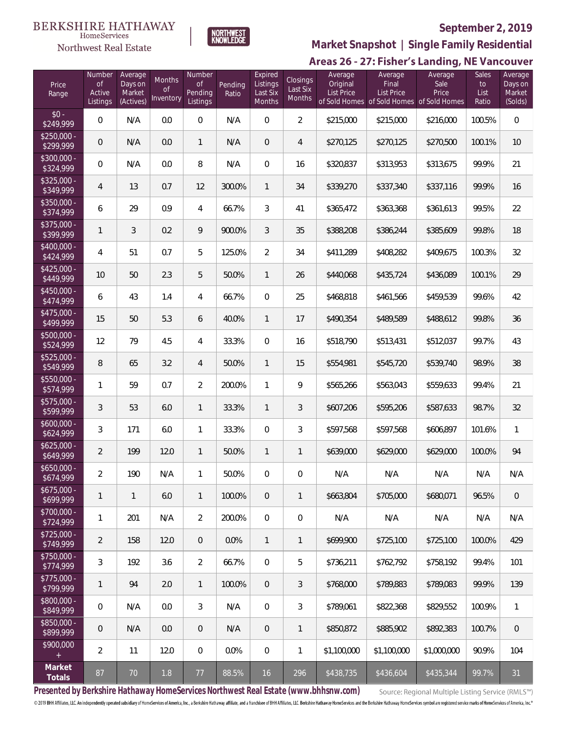



# **September 2, 2019**

**Market Snapshot | Single Family Residential**

# Areas 26 - 27: Fisher's Landing, NE Vancouver

| Price<br>Range            | Number<br><b>of</b><br>Active<br>Listings | Average<br>Days on<br>Market<br>(Actives) | Months<br>0f<br>Inventory | Number<br>0f<br>Pending<br>Listings | Pending<br>Ratio | Expired<br>Listings<br>Last Six<br>Months | Closings<br>Last Six<br>Months | Average<br>Original<br><b>List Price</b> | Average<br>Final<br><b>List Price</b><br>of Sold Homes of Sold Homes of Sold Homes | Average<br>Sale<br>Price | Sales<br>to<br>List<br>Ratio | Average<br>Days on<br>Market<br>(Solds) |
|---------------------------|-------------------------------------------|-------------------------------------------|---------------------------|-------------------------------------|------------------|-------------------------------------------|--------------------------------|------------------------------------------|------------------------------------------------------------------------------------|--------------------------|------------------------------|-----------------------------------------|
| $$0 -$<br>\$249,999       | 0                                         | N/A                                       | 0.0                       | $\mathbf 0$                         | N/A              | $\overline{0}$                            | $\overline{2}$                 | \$215,000                                | \$215,000                                                                          | \$216,000                | 100.5%                       | $\,0\,$                                 |
| $$250,000 -$<br>\$299,999 | 0                                         | N/A                                       | 0.0                       | $\mathbf{1}$                        | N/A              | $\overline{0}$                            | 4                              | \$270,125                                | \$270,125                                                                          | \$270,500                | 100.1%                       | 10                                      |
| $$300,000 -$<br>\$324,999 | 0                                         | N/A                                       | 0.0                       | 8                                   | N/A              | $\mathbf{0}$                              | 16                             | \$320,837                                | \$313,953                                                                          | \$313,675                | 99.9%                        | 21                                      |
| $$325,000 -$<br>\$349,999 | 4                                         | 13                                        | 0.7                       | 12                                  | 300.0%           | $\mathbf{1}$                              | 34                             | \$339,270                                | \$337,340                                                                          | \$337,116                | 99.9%                        | 16                                      |
| $$350,000 -$<br>\$374,999 | 6                                         | 29                                        | 0.9                       | 4                                   | 66.7%            | 3                                         | 41                             | \$365,472                                | \$363,368                                                                          | \$361,613                | 99.5%                        | 22                                      |
| $$375,000 -$<br>\$399,999 | $\mathbf{1}$                              | 3                                         | 0.2                       | 9                                   | 900.0%           | 3                                         | 35                             | \$388,208                                | \$386,244                                                                          | \$385,609                | 99.8%                        | 18                                      |
| $$400.000 -$<br>\$424,999 | 4                                         | 51                                        | 0.7                       | 5                                   | 125.0%           | $\overline{2}$                            | 34                             | \$411,289                                | \$408,282                                                                          | \$409,675                | 100.3%                       | 32                                      |
| $$425,000 -$<br>\$449,999 | 10                                        | 50                                        | 2.3                       | 5                                   | 50.0%            | $\mathbf{1}$                              | 26                             | \$440,068                                | \$435,724                                                                          | \$436,089                | 100.1%                       | 29                                      |
| $$450.000 -$<br>\$474,999 | 6                                         | 43                                        | 1.4                       | 4                                   | 66.7%            | $\mathbf{0}$                              | 25                             | \$468,818                                | \$461,566                                                                          | \$459,539                | 99.6%                        | 42                                      |
| $$475,000 -$<br>\$499,999 | 15                                        | 50                                        | 5.3                       | 6                                   | 40.0%            | $\mathbf{1}$                              | 17                             | \$490,354                                | \$489,589                                                                          | \$488,612                | 99.8%                        | 36                                      |
| $$500,000 -$<br>\$524,999 | 12                                        | 79                                        | 4.5                       | 4                                   | 33.3%            | $\mathbf{0}$                              | 16                             | \$518,790                                | \$513,431                                                                          | \$512,037                | 99.7%                        | 43                                      |
| $$525,000 -$<br>\$549,999 | 8                                         | 65                                        | 3.2                       | $\overline{4}$                      | 50.0%            | $\mathbf{1}$                              | 15                             | \$554,981                                | \$545,720                                                                          | \$539,740                | 98.9%                        | 38                                      |
| $$550,000 -$<br>\$574,999 | 1                                         | 59                                        | 0.7                       | $\overline{2}$                      | 200.0%           | 1                                         | 9                              | \$565,266                                | \$563,043                                                                          | \$559,633                | 99.4%                        | 21                                      |
| $$575,000 -$<br>\$599,999 | 3                                         | 53                                        | 6.0                       | $\mathbf{1}$                        | 33.3%            | $\mathbf{1}$                              | 3                              | \$607,206                                | \$595,206                                                                          | \$587,633                | 98.7%                        | 32                                      |
| $$600,000 -$<br>\$624,999 | 3                                         | 171                                       | 6.0                       | $\mathbf{1}$                        | 33.3%            | $\overline{0}$                            | 3                              | \$597,568                                | \$597,568                                                                          | \$606,897                | 101.6%                       | 1                                       |
| $$625,000 -$<br>\$649,999 | $\overline{2}$                            | 199                                       | 12.0                      | $\mathbf{1}$                        | 50.0%            | $\mathbf{1}$                              | 1                              | \$639,000                                | \$629,000                                                                          | \$629,000                | 100.0%                       | 94                                      |
| $$650,000 -$<br>\$674,999 | $\overline{2}$                            | 190                                       | N/A                       | 1                                   | 50.0%            | 0                                         | 0                              | N/A                                      | N/A                                                                                | N/A                      | N/A                          | N/A                                     |
| $$675,000 -$<br>\$699,999 | 1                                         | $\mathbf{1}$                              | 6.0                       | $\mathbf{1}$                        | 100.0%           | $\overline{0}$                            | $\mathbf{1}$                   | \$663,804                                | \$705,000                                                                          | \$680,071                | 96.5%                        | $\mathbf{0}$                            |
| \$700,000 -<br>\$724,999  | 1                                         | 201                                       | N/A                       | $\overline{2}$                      | 200.0%           | $\overline{0}$                            | 0                              | N/A                                      | N/A                                                                                | N/A                      | N/A                          | N/A                                     |
| $$725,000 -$<br>\$749,999 | $\overline{2}$                            | 158                                       | 12.0                      | $\overline{0}$                      | 0.0%             | $\mathbf{1}$                              | $\mathbf{1}$                   | \$699,900                                | \$725,100                                                                          | \$725,100                | 100.0%                       | 429                                     |
| $$750,000 -$<br>\$774,999 | 3                                         | 192                                       | 3.6                       | $\overline{2}$                      | 66.7%            | $\overline{0}$                            | 5                              | \$736,211                                | \$762,792                                                                          | \$758,192                | 99.4%                        | 101                                     |
| $$775,000 -$<br>\$799,999 | 1                                         | 94                                        | 2.0                       | $\mathbf{1}$                        | 100.0%           | $\mathbf{0}$                              | 3                              | \$768,000                                | \$789,883                                                                          | \$789,083                | 99.9%                        | 139                                     |
| \$800,000 -<br>\$849,999  | 0                                         | N/A                                       | 0.0                       | 3                                   | N/A              | $\overline{0}$                            | 3                              | \$789,061                                | \$822,368                                                                          | \$829,552                | 100.9%                       | 1                                       |
| $$850,000 -$<br>\$899,999 | $\mathbf 0$                               | N/A                                       | 0.0                       | $\theta$                            | N/A              | $\overline{0}$                            | $\mathbf{1}$                   | \$850,872                                | \$885,902                                                                          | \$892,383                | 100.7%                       | $\,0\,$                                 |
| \$900,000                 | $\overline{2}$                            | 11                                        | 12.0                      | 0                                   | 0.0%             | $\overline{0}$                            | 1                              | \$1,100,000                              | \$1,100,000                                                                        | \$1,000,000              | 90.9%                        | 104                                     |
| Market<br>Totals          | 87                                        | 70                                        | 1.8                       | 77                                  | 88.5%            | 16                                        | 296                            | \$438,735                                | \$436,604                                                                          | \$435,344                | 99.7%                        | 31                                      |

**Presented by Berkshire Hathaway HomeServices Northwest Real Estate (www.bhhsnw.com)**

Source: Regional Multiple Listing Service (RMLS™)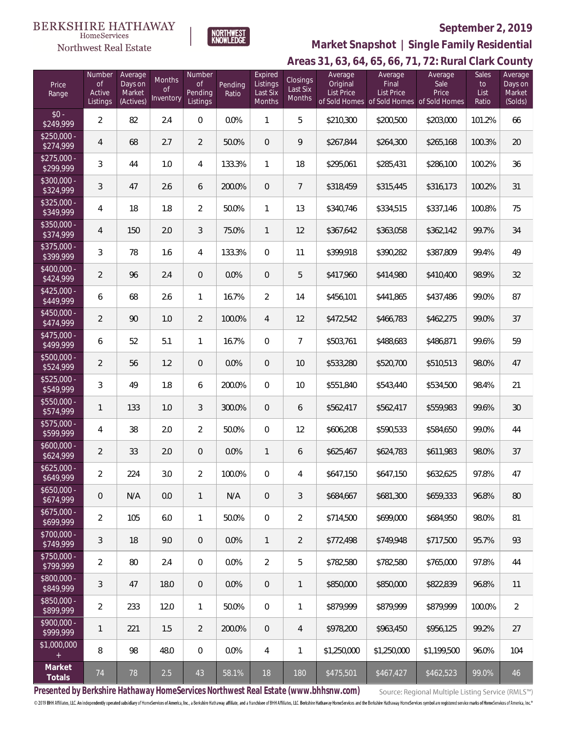Northwest Real Estate



# **September 2, 2019**

**Areas 31, 63, 64, 65, 66, 71, 72: Rural Clark County Market Snapshot | Single Family Residential**

| Price<br>Range            | Number<br>0f<br>Active<br>Listings | Average<br>Days on<br>Market<br>(Actives) | Months<br><sub>of</sub><br>Inventory | Number<br><b>of</b><br>Pending<br>Listings | Pending<br>Ratio | Expired<br>Listings<br>Last Six<br>Months | <b>Closings</b><br>Last Six<br>Months | Average<br>Original<br><b>List Price</b> | Average<br>Final<br><b>List Price</b><br>of Sold Homes of Sold Homes of Sold Homes | Average<br>Sale<br>Price | <b>Sales</b><br>to<br>List<br>Ratio | ◡<br>Average<br>Days on<br>Market<br>(Solds) |
|---------------------------|------------------------------------|-------------------------------------------|--------------------------------------|--------------------------------------------|------------------|-------------------------------------------|---------------------------------------|------------------------------------------|------------------------------------------------------------------------------------|--------------------------|-------------------------------------|----------------------------------------------|
| $$0 -$<br>\$249,999       | $\overline{2}$                     | 82                                        | 2.4                                  | $\boldsymbol{0}$                           | 0.0%             | $\mathbf{1}$                              | 5                                     | \$210,300                                | \$200,500                                                                          | \$203,000                | 101.2%                              | 66                                           |
| $$250,000 -$<br>\$274,999 | $\overline{4}$                     | 68                                        | 2.7                                  | $\overline{2}$                             | 50.0%            | $\overline{0}$                            | 9                                     | \$267,844                                | \$264,300                                                                          | \$265,168                | 100.3%                              | 20                                           |
| $$275,000 -$<br>\$299,999 | 3                                  | 44                                        | 1.0                                  | 4                                          | 133.3%           | 1                                         | 18                                    | \$295,061                                | \$285,431                                                                          | \$286,100                | 100.2%                              | 36                                           |
| $$300,000 -$<br>\$324,999 | 3                                  | 47                                        | 2.6                                  | 6                                          | 200.0%           | $\overline{0}$                            | 7                                     | \$318,459                                | \$315,445                                                                          | \$316,173                | 100.2%                              | 31                                           |
| $$325,000 -$<br>\$349,999 | 4                                  | 18                                        | 1.8                                  | $\overline{2}$                             | 50.0%            | 1                                         | 13                                    | \$340,746                                | \$334,515                                                                          | \$337,146                | 100.8%                              | 75                                           |
| \$350,000 -<br>\$374,999  | 4                                  | 150                                       | 2.0                                  | 3                                          | 75.0%            | $\mathbf{1}$                              | 12                                    | \$367,642                                | \$363,058                                                                          | \$362,142                | 99.7%                               | 34                                           |
| \$375,000 -<br>\$399,999  | 3                                  | 78                                        | 1.6                                  | 4                                          | 133.3%           | $\overline{0}$                            | 11                                    | \$399,918                                | \$390,282                                                                          | \$387,809                | 99.4%                               | 49                                           |
| $$400,000 -$<br>\$424,999 | $\overline{2}$                     | 96                                        | 2.4                                  | 0                                          | 0.0%             | $\theta$                                  | 5                                     | \$417,960                                | \$414,980                                                                          | \$410,400                | 98.9%                               | 32                                           |
| $$425,000 -$<br>\$449,999 | 6                                  | 68                                        | 2.6                                  | $\mathbf{1}$                               | 16.7%            | $\overline{2}$                            | 14                                    | \$456,101                                | \$441,865                                                                          | \$437,486                | 99.0%                               | 87                                           |
| $$450,000 -$<br>\$474,999 | $\overline{2}$                     | 90                                        | 1.0                                  | $\overline{2}$                             | 100.0%           | $\overline{4}$                            | 12                                    | \$472,542                                | \$466,783                                                                          | \$462,275                | 99.0%                               | 37                                           |
| $$475,000 -$<br>\$499,999 | 6                                  | 52                                        | 5.1                                  | $\mathbf{1}$                               | 16.7%            | $\mathbf{0}$                              | $\overline{7}$                        | \$503,761                                | \$488,683                                                                          | \$486,871                | 99.6%                               | 59                                           |
| $$500,000 -$<br>\$524,999 | $\overline{2}$                     | 56                                        | 1.2                                  | $\theta$                                   | 0.0%             | $\overline{0}$                            | 10                                    | \$533,280                                | \$520,700                                                                          | \$510,513                | 98.0%                               | 47                                           |
| $$525,000 -$<br>\$549,999 | 3                                  | 49                                        | 1.8                                  | 6                                          | 200.0%           | $\overline{0}$                            | 10                                    | \$551,840                                | \$543,440                                                                          | \$534,500                | 98.4%                               | 21                                           |
| $$550,000 -$<br>\$574,999 | 1                                  | 133                                       | 1.0                                  | 3                                          | 300.0%           | $\overline{0}$                            | 6                                     | \$562,417                                | \$562,417                                                                          | \$559,983                | 99.6%                               | 30                                           |
| $$575,000 -$<br>\$599,999 | 4                                  | 38                                        | 2.0                                  | $\overline{2}$                             | 50.0%            | $\overline{0}$                            | 12                                    | \$606,208                                | \$590,533                                                                          | \$584,650                | 99.0%                               | 44                                           |
| $$600,000 -$<br>\$624,999 | $\overline{2}$                     | 33                                        | 2.0                                  | 0                                          | 0.0%             | $\mathbf{1}$                              | 6                                     | \$625,467                                | \$624,783                                                                          | \$611,983                | 98.0%                               | 37                                           |
| $$625,000 -$<br>\$649,999 | $\overline{2}$                     | 224                                       | 3.0                                  | $\overline{2}$                             | 100.0%           | 0                                         | 4                                     | \$647,150                                | \$647,150                                                                          | \$632,625                | 97.8%                               | 47                                           |
| $$650,000 -$<br>\$674,999 | $\theta$                           | N/A                                       | 0.0                                  | $\mathbf{1}$                               | N/A              | $\overline{0}$                            | 3                                     | \$684,667                                | \$681,300                                                                          | \$659,333                | 96.8%                               | 80                                           |
| $$675,000 -$<br>\$699,999 | $\overline{2}$                     | 105                                       | 6.0                                  | $\mathbf{1}$                               | 50.0%            | $\overline{0}$                            | $\overline{2}$                        | \$714,500                                | \$699,000                                                                          | \$684,950                | 98.0%                               | 81                                           |
| $$700,000 -$<br>\$749,999 | 3                                  | 18                                        | 9.0                                  | $\overline{0}$                             | 0.0%             | $\mathbf{1}$                              | $\overline{2}$                        | \$772,498                                | \$749.948                                                                          | \$717,500                | 95.7%                               | 93                                           |
| \$750,000 -<br>\$799,999  | $\overline{2}$                     | 80                                        | 2.4                                  | $\mathbf{0}$                               | 0.0%             | $\overline{2}$                            | 5                                     | \$782,580                                | \$782,580                                                                          | \$765,000                | 97.8%                               | 44                                           |
| \$800,000 -<br>\$849,999  | 3                                  | 47                                        | 18.0                                 | $\theta$                                   | 0.0%             | $\overline{0}$                            | 1                                     | \$850,000                                | \$850,000                                                                          | \$822,839                | 96.8%                               | 11                                           |
| \$850,000 -<br>\$899,999  | $\overline{2}$                     | 233                                       | 12.0                                 | $\mathbf{1}$                               | 50.0%            | $\overline{0}$                            | 1                                     | \$879,999                                | \$879,999                                                                          | \$879,999                | 100.0%                              | $\overline{2}$                               |
| $$900,000 -$<br>\$999,999 | 1                                  | 221                                       | 1.5                                  | $\overline{2}$                             | 200.0%           | $\overline{0}$                            | 4                                     | \$978,200                                | \$963,450                                                                          | \$956,125                | 99.2%                               | 27                                           |
| \$1,000,000<br>$+$        | 8                                  | 98                                        | 48.0                                 | $\mathbf{0}$                               | 0.0%             | 4                                         | 1                                     | \$1,250,000                              | \$1,250,000                                                                        | \$1,199,500              | 96.0%                               | 104                                          |
| Market<br>Totals          | 74                                 | 78                                        | 2.5                                  | 43                                         | 58.1%            | 18                                        | 180                                   | \$475,501                                | \$467,427                                                                          | \$462,523                | 99.0%                               | 46                                           |

**Presented by Berkshire Hathaway HomeServices Northwest Real Estate (www.bhhsnw.com)**

Source: Regional Multiple Listing Service (RMLS™)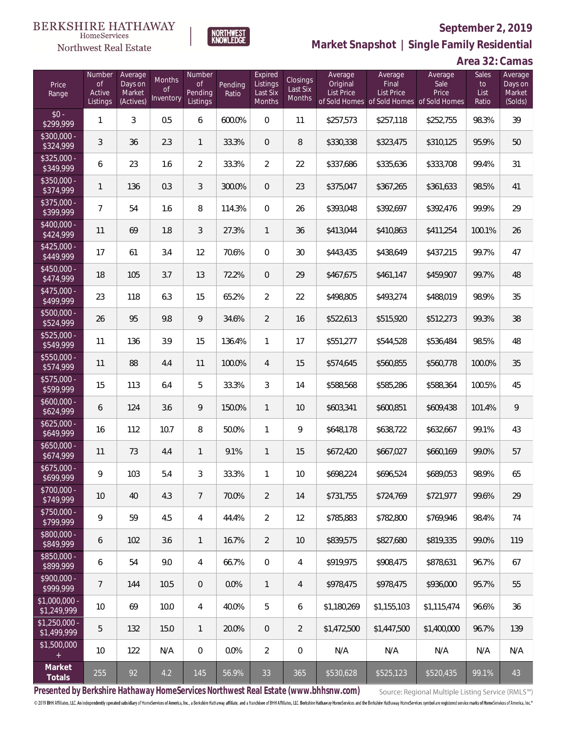

**NORTHWEST**<br>KNOWLEDGE

Northwest Real Estate

**Market Snapshot | Single Family Residential**

**Area 32: Camas**

| Price<br>Range                | Number<br><b>of</b><br>Active<br>Listings | Average<br>Days on<br>Market<br>(Actives) | Months<br>0f<br>Inventory | Number<br><b>of</b><br>Pending<br>Listings | Pending<br>Ratio | Expired<br>Listings<br>Last Six<br>Months | Closings<br>Last Six<br>Months | Average<br>Original<br>List Price | Average<br>Final<br>List Price<br>of Sold Homes of Sold Homes of Sold Homes | Average<br>Sale<br>Price | Sales<br>to<br>List<br>Ratio | Average<br>Days on<br>Market<br>(Solds) |
|-------------------------------|-------------------------------------------|-------------------------------------------|---------------------------|--------------------------------------------|------------------|-------------------------------------------|--------------------------------|-----------------------------------|-----------------------------------------------------------------------------|--------------------------|------------------------------|-----------------------------------------|
| $$0 -$<br>\$299,999           | 1                                         | 3                                         | 0.5                       | 6                                          | 600.0%           | $\Omega$                                  | 11                             | \$257,573                         | \$257,118                                                                   | \$252,755                | 98.3%                        | 39                                      |
| $$300,000 -$<br>\$324,999     | 3                                         | 36                                        | 2.3                       | $\mathbf{1}$                               | 33.3%            | $\Omega$                                  | 8                              | \$330,338                         | \$323,475                                                                   | \$310,125                | 95.9%                        | 50                                      |
| $$325,000 -$<br>\$349,999     | 6                                         | 23                                        | 1.6                       | $\overline{2}$                             | 33.3%            | $\overline{2}$                            | 22                             | \$337,686                         | \$335,636                                                                   | \$333,708                | 99.4%                        | 31                                      |
| $$350,000 -$<br>\$374,999     | 1                                         | 136                                       | 0.3                       | 3                                          | 300.0%           | $\Omega$                                  | 23                             | \$375,047                         | \$367,265                                                                   | \$361,633                | 98.5%                        | 41                                      |
| $$375,000 -$<br>\$399,999     | $\overline{7}$                            | 54                                        | 1.6                       | 8                                          | 114.3%           | $\Omega$                                  | 26                             | \$393,048                         | \$392,697                                                                   | \$392,476                | 99.9%                        | 29                                      |
| $$400,000 -$<br>\$424,999     | 11                                        | 69                                        | 1.8                       | 3                                          | 27.3%            | $\mathbf{1}$                              | 36                             | \$413,044                         | \$410,863                                                                   | \$411,254                | 100.1%                       | 26                                      |
| $$425,000 -$<br>\$449,999     | 17                                        | 61                                        | 3.4                       | 12                                         | 70.6%            | $\Omega$                                  | 30                             | \$443,435                         | \$438,649                                                                   | \$437,215                | 99.7%                        | 47                                      |
| $$450,000 -$<br>\$474,999     | 18                                        | 105                                       | 3.7                       | 13                                         | 72.2%            | $\mathbf{0}$                              | 29                             | \$467,675                         | \$461,147                                                                   | \$459,907                | 99.7%                        | 48                                      |
| $$475,000 -$<br>\$499,999     | 23                                        | 118                                       | 6.3                       | 15                                         | 65.2%            | $\overline{2}$                            | 22                             | \$498,805                         | \$493,274                                                                   | \$488,019                | 98.9%                        | 35                                      |
| $$500,000 -$<br>\$524,999     | 26                                        | 95                                        | 9.8                       | 9                                          | 34.6%            | $\overline{2}$                            | 16                             | \$522,613                         | \$515,920                                                                   | \$512,273                | 99.3%                        | 38                                      |
| $$525,000 -$<br>\$549,999     | 11                                        | 136                                       | 3.9                       | 15                                         | 136.4%           | $\mathbf{1}$                              | 17                             | \$551,277                         | \$544,528                                                                   | \$536,484                | 98.5%                        | 48                                      |
| \$550,000 -<br>\$574,999      | 11                                        | 88                                        | 4.4                       | 11                                         | 100.0%           | $\overline{4}$                            | 15                             | \$574,645                         | \$560,855                                                                   | \$560,778                | 100.0%                       | 35                                      |
| \$575,000 -<br>\$599,999      | 15                                        | 113                                       | 6.4                       | 5                                          | 33.3%            | 3                                         | 14                             | \$588,568                         | \$585,286                                                                   | \$588,364                | 100.5%                       | 45                                      |
| $$600,000 -$<br>\$624,999     | 6                                         | 124                                       | 3.6                       | 9                                          | 150.0%           | $\mathbf{1}$                              | 10                             | \$603,341                         | \$600,851                                                                   | \$609,438                | 101.4%                       | $\mathcal{G}$                           |
| $$625,000 -$<br>\$649,999     | 16                                        | 112                                       | 10.7                      | 8                                          | 50.0%            | $\mathbf{1}$                              | 9                              | \$648,178                         | \$638,722                                                                   | \$632,667                | 99.1%                        | 43                                      |
| $$650,000 -$<br>\$674,999     | 11                                        | 73                                        | 4.4                       | $\mathbf{1}$                               | 9.1%             | $\mathbf{1}$                              | 15                             | \$672,420                         | \$667,027                                                                   | \$660,169                | 99.0%                        | 57                                      |
| $$675,000 -$<br>\$699,999     | 9                                         | 103                                       | 5.4                       | $\mathfrak{Z}$                             | 33.3%            | $\mathbf{1}$                              | 10                             | \$698,224                         | \$696,524                                                                   | \$689,053                | 98.9%                        | 65                                      |
| $$700,000 -$<br>\$749,999     | 10                                        | 40                                        | 4.3                       | $\overline{7}$                             | 70.0%            | $\overline{2}$                            | 14                             | \$731,755                         | \$724,769                                                                   | \$721,977                | 99.6%                        | 29                                      |
| $$750,000 -$<br>\$799,999     | 9                                         | 59                                        | 4.5                       | $\overline{4}$                             | 44.4%            | $\overline{2}$                            | 12                             | \$785,883                         | \$782,800                                                                   | \$769,946                | 98.4%                        | 74                                      |
| \$800,000 -<br>\$849,999      | 6                                         | 102                                       | 3.6                       | $\mathbf{1}$                               | 16.7%            | $\overline{2}$                            | 10                             | \$839,575                         | \$827,680                                                                   | \$819,335                | 99.0%                        | 119                                     |
| $$850,000 -$<br>\$899,999     | 6                                         | 54                                        | 9.0                       | $\overline{4}$                             | 66.7%            | $\mathbf 0$                               | 4                              | \$919,975                         | \$908,475                                                                   | \$878,631                | 96.7%                        | 67                                      |
| $$900,000 -$<br>\$999,999     | $\overline{7}$                            | 144                                       | 10.5                      | $\overline{0}$                             | 0.0%             | $\mathbf{1}$                              | 4                              | \$978,475                         | \$978,475                                                                   | \$936,000                | 95.7%                        | 55                                      |
| $$1,000,000$ -<br>\$1,249,999 | 10                                        | 69                                        | 10.0                      | $\overline{4}$                             | 40.0%            | 5                                         | 6                              | \$1,180,269                       | \$1,155,103                                                                 | \$1,115,474              | 96.6%                        | 36                                      |
| $$1,250,000$ -<br>\$1,499,999 | 5                                         | 132                                       | 15.0                      | $\mathbf{1}$                               | 20.0%            | $\theta$                                  | $\overline{2}$                 | \$1,472,500                       | \$1,447,500                                                                 | \$1,400,000              | 96.7%                        | 139                                     |
| \$1,500,000<br>$+$            | 10                                        | 122                                       | N/A                       | 0                                          | 0.0%             | $\overline{2}$                            | $\mathbf 0$                    | N/A                               | N/A                                                                         | N/A                      | N/A                          | N/A                                     |
| Market<br>Totals              | 255                                       | 92                                        | 4.2                       | 145                                        | 56.9%            | 33                                        | 365                            | \$530,628                         | \$525,123                                                                   | \$520,435                | 99.1%                        | 43                                      |

**Presented by Berkshire Hathaway HomeServices Northwest Real Estate (www.bhhsnw.com)**

Source: Regional Multiple Listing Service (RMLS™)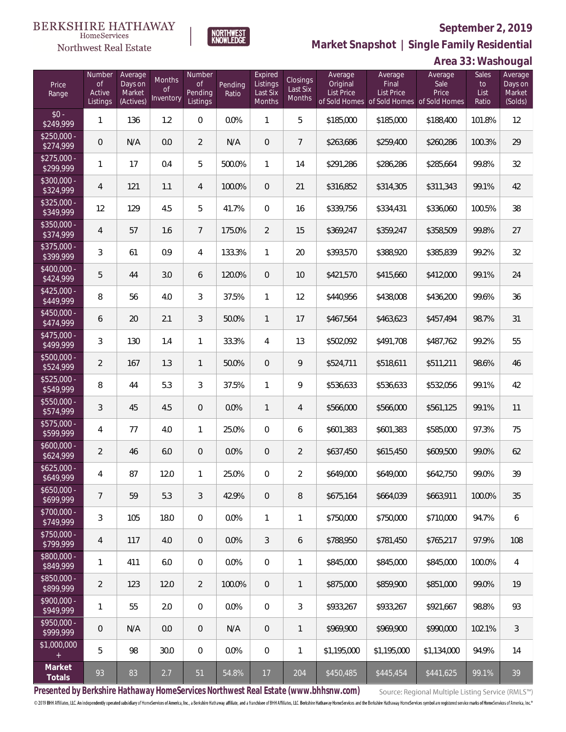

**NORTHWEST**<br>KNOWLEDGE

Northwest Real Estate

**Market Snapshot | Single Family Residential**

# **Area 33: Washougal**

| Price<br>Range            | Number<br><b>of</b><br>Active<br>Listings | Average<br>Days on<br>Market<br>(Actives) | Months<br>0f<br>Inventory | Number<br>Οf<br>Pending<br>Listings | Pending<br>Ratio | Expired<br>Listings<br>Last Six<br>Months | Closings<br>Last Six<br>Months | Average<br>Original<br><b>List Price</b> | Average<br>Final<br><b>List Price</b><br>of Sold Homes of Sold Homes of Sold Homes | Average<br>Sale<br>Price | Sales<br>to<br>List<br>Ratio | Average<br>Days on<br>Market<br>(Solds) |
|---------------------------|-------------------------------------------|-------------------------------------------|---------------------------|-------------------------------------|------------------|-------------------------------------------|--------------------------------|------------------------------------------|------------------------------------------------------------------------------------|--------------------------|------------------------------|-----------------------------------------|
| $$0 -$<br>\$249,999       | $\mathbf{1}$                              | 136                                       | 1.2                       | $\overline{0}$                      | 0.0%             | 1                                         | 5                              | \$185,000                                | \$185,000                                                                          | \$188,400                | 101.8%                       | 12                                      |
| $$250,000 -$<br>\$274,999 | $\overline{0}$                            | N/A                                       | 0.0                       | $\overline{2}$                      | N/A              | $\overline{0}$                            | $\overline{7}$                 | \$263,686                                | \$259,400                                                                          | \$260,286                | 100.3%                       | 29                                      |
| $$275,000 -$<br>\$299,999 | $\mathbf{1}$                              | 17                                        | 0.4                       | 5                                   | 500.0%           | $\mathbf{1}$                              | 14                             | \$291,286                                | \$286,286                                                                          | \$285,664                | 99.8%                        | 32                                      |
| $$300,000 -$<br>\$324,999 | $\overline{4}$                            | 121                                       | 1.1                       | 4                                   | 100.0%           | $\overline{0}$                            | 21                             | \$316,852                                | \$314,305                                                                          | \$311,343                | 99.1%                        | 42                                      |
| $$325,000 -$<br>\$349,999 | 12                                        | 129                                       | 4.5                       | 5                                   | 41.7%            | $\overline{0}$                            | 16                             | \$339,756                                | \$334,431                                                                          | \$336,060                | 100.5%                       | 38                                      |
| $$350,000 -$<br>\$374,999 | $\overline{4}$                            | 57                                        | 1.6                       | $7\overline{ }$                     | 175.0%           | $\overline{2}$                            | 15                             | \$369,247                                | \$359,247                                                                          | \$358,509                | 99.8%                        | 27                                      |
| $$375,000 -$<br>\$399,999 | $\mathfrak{Z}$                            | 61                                        | 0.9                       | 4                                   | 133.3%           | $\mathbf{1}$                              | 20                             | \$393,570                                | \$388,920                                                                          | \$385,839                | 99.2%                        | 32                                      |
| $$400,000 -$<br>\$424,999 | 5                                         | 44                                        | 3.0                       | 6                                   | 120.0%           | $\overline{0}$                            | 10                             | \$421,570                                | \$415,660                                                                          | \$412,000                | 99.1%                        | 24                                      |
| $$425,000 -$<br>\$449,999 | 8                                         | 56                                        | 4.0                       | 3                                   | 37.5%            | $\mathbf{1}$                              | 12                             | \$440,956                                | \$438,008                                                                          | \$436,200                | 99.6%                        | 36                                      |
| $$450,000 -$<br>\$474,999 | 6                                         | 20                                        | 2.1                       | 3                                   | 50.0%            | $\mathbf{1}$                              | 17                             | \$467,564                                | \$463,623                                                                          | \$457,494                | 98.7%                        | 31                                      |
| $$475,000 -$<br>\$499,999 | $\mathfrak{Z}$                            | 130                                       | 1.4                       | $\mathbf{1}$                        | 33.3%            | $\overline{4}$                            | 13                             | \$502,092                                | \$491,708                                                                          | \$487,762                | 99.2%                        | 55                                      |
| $$500,000 -$<br>\$524,999 | $\overline{2}$                            | 167                                       | 1.3                       | $\mathbf{1}$                        | 50.0%            | $\overline{0}$                            | 9                              | \$524,711                                | \$518,611                                                                          | \$511,211                | 98.6%                        | 46                                      |
| $$525,000 -$<br>\$549,999 | 8                                         | 44                                        | 5.3                       | 3                                   | 37.5%            | $\mathbf{1}$                              | 9                              | \$536,633                                | \$536,633                                                                          | \$532,056                | 99.1%                        | 42                                      |
| $$550,000 -$<br>\$574,999 | $\mathfrak{Z}$                            | 45                                        | 4.5                       | $\overline{0}$                      | 0.0%             | $\mathbf{1}$                              | $\overline{4}$                 | \$566,000                                | \$566,000                                                                          | \$561,125                | 99.1%                        | 11                                      |
| $$575,000 -$<br>\$599,999 | $\overline{4}$                            | 77                                        | 4.0                       | $\mathbf{1}$                        | 25.0%            | $\overline{0}$                            | 6                              | \$601,383                                | \$601,383                                                                          | \$585,000                | 97.3%                        | 75                                      |
| $$600,000 -$<br>\$624,999 | $\overline{2}$                            | 46                                        | 6.0                       | $\overline{0}$                      | 0.0%             | $\overline{0}$                            | $\overline{2}$                 | \$637,450                                | \$615,450                                                                          | \$609,500                | 99.0%                        | 62                                      |
| $$625,000 -$<br>\$649,999 | 4                                         | 87                                        | 12.0                      | $\mathbf{1}$                        | 25.0%            | $\overline{0}$                            | $\overline{2}$                 | \$649,000                                | \$649,000                                                                          | \$642,750                | 99.0%                        | 39                                      |
| $$650,000 -$<br>\$699,999 | $\overline{7}$                            | 59                                        | 5.3                       | 3                                   | 42.9%            | $\overline{0}$                            | 8                              | \$675,164                                | \$664,039                                                                          | \$663,911                | 100.0%                       | 35                                      |
| $$700,000 -$<br>\$749,999 | $\sqrt{3}$                                | 105                                       | 18.0                      | $\boldsymbol{0}$                    | 0.0%             | $\mathbf{1}$                              | 1                              | \$750,000                                | \$750,000                                                                          | \$710,000                | 94.7%                        | 6                                       |
| $$750,000 -$<br>\$799,999 | $\overline{4}$                            | 117                                       | 4.0                       | $\overline{0}$                      | 0.0%             | $\mathfrak{Z}$                            | 6                              | \$788,950                                | \$781,450                                                                          | \$765,217                | 97.9%                        | 108                                     |
| \$800,000 -<br>\$849,999  | $\mathbf{1}$                              | 411                                       | 6.0                       | 0                                   | 0.0%             | $\mathbf 0$                               | 1                              | \$845,000                                | \$845,000                                                                          | \$845,000                | 100.0%                       | 4                                       |
| \$850,000 -<br>\$899,999  | $\overline{2}$                            | 123                                       | 12.0                      | $\overline{2}$                      | 100.0%           | $\overline{0}$                            | 1                              | \$875,000                                | \$859,900                                                                          | \$851,000                | 99.0%                        | 19                                      |
| $$900,000 -$<br>\$949,999 | $\mathbf{1}$                              | 55                                        | 2.0                       | $\boldsymbol{0}$                    | 0.0%             | $\mathbf 0$                               | 3                              | \$933,267                                | \$933,267                                                                          | \$921,667                | 98.8%                        | 93                                      |
| $$950,000 -$<br>\$999,999 | $\mathbf 0$                               | N/A                                       | 0.0                       | $\mathbf 0$                         | N/A              | $\mathbf 0$                               | $\mathbf{1}$                   | \$969,900                                | \$969,900                                                                          | \$990,000                | 102.1%                       | 3                                       |
| \$1,000,000<br>$+$        | 5                                         | 98                                        | 30.0                      | $\boldsymbol{0}$                    | 0.0%             | $\mathbf 0$                               | 1                              | \$1,195,000                              | \$1,195,000                                                                        | \$1,134,000              | 94.9%                        | 14                                      |
| Market<br>Totals          | 93                                        | 83                                        | 2.7                       | 51                                  | 54.8%            | 17                                        | 204                            | \$450,485                                | \$445,454                                                                          | \$441,625                | 99.1%                        | 39                                      |

**Presented by Berkshire Hathaway HomeServices Northwest Real Estate (www.bhhsnw.com)**

Source: Regional Multiple Listing Service (RMLS™)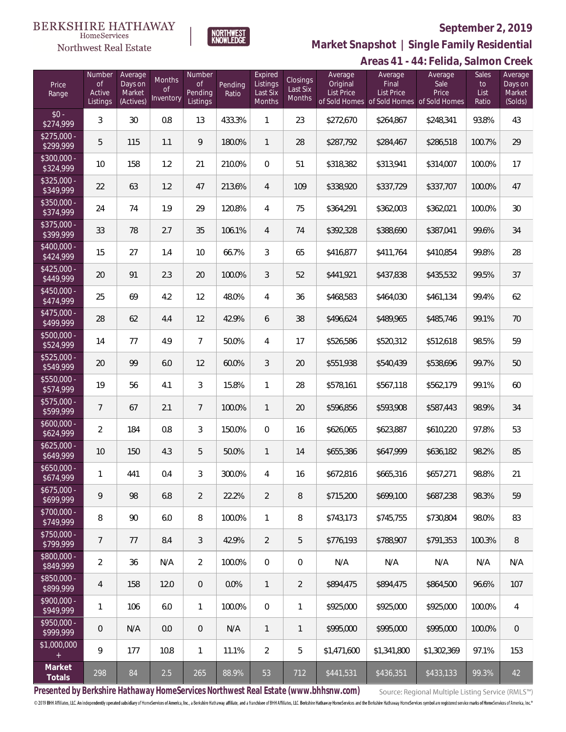Northwest Real Estate



# **September 2, 2019**

**Market Snapshot | Single Family Residential**

|                           |                                           |                                           |                                  |                                            |                  |                                           |                                              |                                          |                                       | Areas 41 - 44: Felida, Salmon Creek                                   |                                     |                                         |
|---------------------------|-------------------------------------------|-------------------------------------------|----------------------------------|--------------------------------------------|------------------|-------------------------------------------|----------------------------------------------|------------------------------------------|---------------------------------------|-----------------------------------------------------------------------|-------------------------------------|-----------------------------------------|
| Price<br>Range            | Number<br><b>of</b><br>Active<br>Listings | Average<br>Days on<br>Market<br>(Actives) | Months<br><b>of</b><br>Inventory | Number<br><b>of</b><br>Pending<br>Listings | Pending<br>Ratio | Expired<br>Listings<br>Last Six<br>Months | <b>Closings</b><br>Last Six<br><b>Months</b> | Average<br>Original<br><b>List Price</b> | Average<br>Final<br><b>List Price</b> | Average<br>Sale<br>Price<br>of Sold Homes of Sold Homes of Sold Homes | <b>Sales</b><br>to<br>List<br>Ratio | Average<br>Days on<br>Market<br>(Solds) |
| $$0 -$<br>\$274,999       | 3                                         | 30                                        | 0.8                              | 13                                         | 433.3%           | $\mathbf{1}$                              | 23                                           | \$272,670                                | \$264,867                             | \$248,341                                                             | 93.8%                               | 43                                      |
| $$275,000 -$<br>\$299,999 | 5                                         | 115                                       | 1.1                              | 9                                          | 180.0%           | $\mathbf{1}$                              | 28                                           | \$287,792                                | \$284,467                             | \$286,518                                                             | 100.7%                              | 29                                      |
| $$300,000 -$<br>\$324,999 | 10                                        | 158                                       | 1.2                              | 21                                         | 210.0%           | $\overline{0}$                            | 51                                           | \$318,382                                | \$313,941                             | \$314,007                                                             | 100.0%                              | 17                                      |
| $$325,000 -$<br>\$349,999 | 22                                        | 63                                        | 1.2                              | 47                                         | 213.6%           | $\overline{4}$                            | 109                                          | \$338,920                                | \$337,729                             | \$337,707                                                             | 100.0%                              | 47                                      |
| $$350,000 -$<br>\$374,999 | 24                                        | 74                                        | 1.9                              | 29                                         | 120.8%           | 4                                         | 75                                           | \$364,291                                | \$362,003                             | \$362,021                                                             | 100.0%                              | 30                                      |
| \$375,000 -<br>\$399,999  | 33                                        | 78                                        | 2.7                              | 35                                         | 106.1%           | $\overline{4}$                            | 74                                           | \$392,328                                | \$388,690                             | \$387,041                                                             | 99.6%                               | 34                                      |
| $$400,000 -$<br>\$424,999 | 15                                        | 27                                        | 1.4                              | 10                                         | 66.7%            | 3                                         | 65                                           | \$416,877                                | \$411,764                             | \$410,854                                                             | 99.8%                               | 28                                      |
| $$425,000 -$<br>\$449,999 | 20                                        | 91                                        | 2.3                              | 20                                         | 100.0%           | 3                                         | 52                                           | \$441,921                                | \$437,838                             | \$435,532                                                             | 99.5%                               | 37                                      |
| $$450,000 -$<br>\$474,999 | 25                                        | 69                                        | 4.2                              | 12                                         | 48.0%            | 4                                         | 36                                           | \$468,583                                | \$464,030                             | \$461,134                                                             | 99.4%                               | 62                                      |
| $$475,000 -$<br>\$499,999 | 28                                        | 62                                        | 4.4                              | 12                                         | 42.9%            | 6                                         | 38                                           | \$496,624                                | \$489,965                             | \$485,746                                                             | 99.1%                               | 70                                      |
| \$500,000 -<br>\$524,999  | 14                                        | 77                                        | 4.9                              | $\overline{7}$                             | 50.0%            | 4                                         | 17                                           | \$526,586                                | \$520,312                             | \$512,618                                                             | 98.5%                               | 59                                      |
| $$525,000 -$<br>\$549,999 | 20                                        | 99                                        | 6.0                              | 12                                         | 60.0%            | $\mathfrak{Z}$                            | 20                                           | \$551,938                                | \$540,439                             | \$538,696                                                             | 99.7%                               | 50                                      |
| $$550,000 -$<br>\$574,999 | 19                                        | 56                                        | 4.1                              | $\mathfrak{Z}$                             | 15.8%            | $\mathbf{1}$                              | 28                                           | \$578,161                                | \$567,118                             | \$562,179                                                             | 99.1%                               | 60                                      |
| \$575,000 -<br>\$599,999  | $7\phantom{.}$                            | 67                                        | 2.1                              | $\overline{7}$                             | 100.0%           | $\mathbf{1}$                              | 20                                           | \$596,856                                | \$593,908                             | \$587,443                                                             | 98.9%                               | 34                                      |
| $$600,000 -$<br>\$624,999 | $\overline{2}$                            | 184                                       | 0.8                              | $\mathfrak{Z}$                             | 150.0%           | $\boldsymbol{0}$                          | 16                                           | \$626,065                                | \$623,887                             | \$610,220                                                             | 97.8%                               | 53                                      |
| $$625,000 -$<br>\$649,999 | 10                                        | 150                                       | 4.3                              | 5                                          | 50.0%            | $\mathbf{1}$                              | 14                                           | \$655,386                                | \$647,999                             | \$636,182                                                             | 98.2%                               | 85                                      |
| \$650,000<br>\$674,999    | 1                                         | 441                                       | 0.4                              | 3                                          | 300.0%           | $\overline{4}$                            | 16                                           | \$672,816                                | \$665,316                             | \$657,271                                                             | 98.8%                               | 21                                      |
| $$675,000 -$<br>\$699,999 | 9                                         | 98                                        | 6.8                              | $\overline{2}$                             | 22.2%            | $\overline{2}$                            | 8                                            | \$715,200                                | \$699,100                             | \$687,238                                                             | 98.3%                               | 59                                      |
| $$700,000 -$<br>\$749,999 | 8                                         | 90                                        | 6.0                              | 8                                          | 100.0%           | $\mathbf{1}$                              | 8                                            | \$743,173                                | \$745,755                             | \$730.804                                                             | 98.0%                               | 83                                      |
| $$750,000 -$<br>\$799,999 | $\overline{7}$                            | 77                                        | 8.4                              | $\mathfrak{Z}$                             | 42.9%            | $\overline{2}$                            | 5                                            | \$776,193                                | \$788,907                             | \$791,353                                                             | 100.3%                              | 8                                       |
| \$800,000 -<br>\$849,999  | $\overline{2}$                            | 36                                        | N/A                              | $\overline{2}$                             | 100.0%           | $\overline{0}$                            | $\mathbf 0$                                  | N/A                                      | N/A                                   | N/A                                                                   | N/A                                 | N/A                                     |
| \$850,000 -<br>\$899,999  | 4                                         | 158                                       | 12.0                             | $\overline{0}$                             | 0.0%             | $\mathbf{1}$                              | $\overline{2}$                               | \$894,475                                | \$894,475                             | \$864,500                                                             | 96.6%                               | 107                                     |
| $$900,000 -$<br>\$949,999 | 1                                         | 106                                       | 6.0                              | $\mathbf{1}$                               | 100.0%           | $\overline{0}$                            | 1                                            | \$925,000                                | \$925,000                             | \$925,000                                                             | 100.0%                              | 4                                       |
| $$950,000 -$<br>\$999,999 | 0                                         | N/A                                       | 0.0                              | $\overline{0}$                             | N/A              | $\mathbf{1}$                              | 1                                            | \$995,000                                | \$995,000                             | \$995,000                                                             | 100.0%                              | 0                                       |
| \$1,000,000<br>$+$        | 9                                         | 177                                       | 10.8                             | $\mathbf{1}$                               | 11.1%            | $\overline{2}$                            | 5                                            | \$1,471,600                              | \$1,341,800                           | \$1,302,369                                                           | 97.1%                               | 153                                     |
| Market<br>Totals          | 298                                       | 84                                        | 2.5                              | 265                                        | 88.9%            | 53                                        | 712                                          | \$441,531                                | \$436,351                             | \$433,133                                                             | 99.3%                               | 42                                      |

**Presented by Berkshire Hathaway HomeServices Northwest Real Estate (www.bhhsnw.com)**

Source: Regional Multiple Listing Service (RMLS™)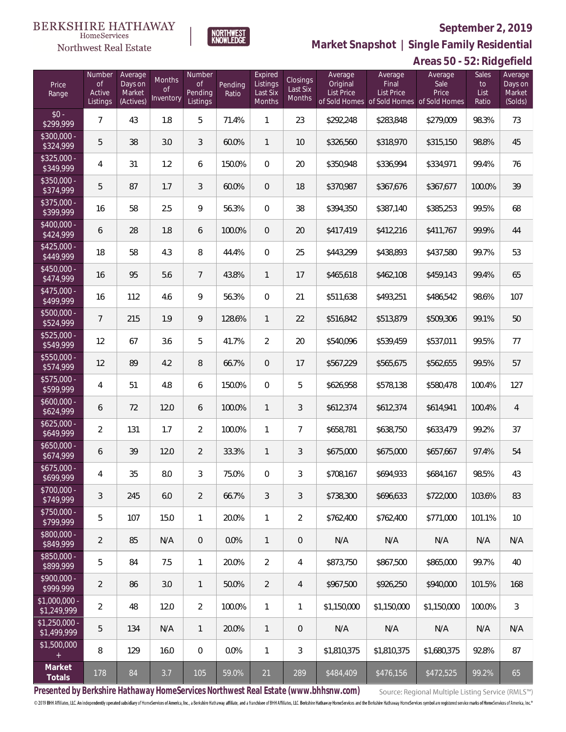

**NORTHWEST**<br>KNOWLEDGE

Northwest Real Estate

**Market Snapshot | Single Family Residential**

# **Areas 50 - 52: Ridgefield**

| Price<br>Range                | Number<br>of<br>Active<br>Listings | Average<br>Days on<br>Market<br>(Actives) | Months<br>Οf<br>Inventory | Number<br><b>of</b><br>Pending<br>Listings | Pending<br>Ratio | Expired<br>Listings<br>Last Six<br>Months | Closings<br>Last Six<br>Months | Average<br>Original<br><b>List Price</b> | Average<br>Final<br>List Price<br>of Sold Homes of Sold Homes | Average<br>Sale<br>Price<br>of Sold Homes | Sales<br>to<br>List<br>Ratio | Average<br>Days on<br>Market<br>(Solds) |
|-------------------------------|------------------------------------|-------------------------------------------|---------------------------|--------------------------------------------|------------------|-------------------------------------------|--------------------------------|------------------------------------------|---------------------------------------------------------------|-------------------------------------------|------------------------------|-----------------------------------------|
| $$0 -$<br>\$299,999           | $\overline{7}$                     | 43                                        | 1.8                       | 5                                          | 71.4%            | 1                                         | 23                             | \$292,248                                | \$283,848                                                     | \$279,009                                 | 98.3%                        | 73                                      |
| \$300,000 -<br>\$324,999      | 5                                  | 38                                        | 3.0                       | 3                                          | 60.0%            | $\mathbf{1}$                              | 10                             | \$326,560                                | \$318,970                                                     | \$315,150                                 | 98.8%                        | 45                                      |
| $$325,000 -$<br>\$349,999     | 4                                  | 31                                        | 1.2                       | 6                                          | 150.0%           | $\overline{0}$                            | 20                             | \$350,948                                | \$336,994                                                     | \$334,971                                 | 99.4%                        | 76                                      |
| \$350,000 -<br>\$374,999      | 5                                  | 87                                        | 1.7                       | 3                                          | 60.0%            | $\overline{0}$                            | 18                             | \$370,987                                | \$367,676                                                     | \$367,677                                 | 100.0%                       | 39                                      |
| \$375,000 -<br>\$399,999      | 16                                 | 58                                        | 2.5                       | 9                                          | 56.3%            | $\mathbf{0}$                              | 38                             | \$394,350                                | \$387,140                                                     | \$385,253                                 | 99.5%                        | 68                                      |
| \$400,000 -<br>\$424,999      | 6                                  | 28                                        | 1.8                       | 6                                          | 100.0%           | $\overline{0}$                            | 20                             | \$417,419                                | \$412,216                                                     | \$411,767                                 | 99.9%                        | 44                                      |
| $$425,000 -$<br>\$449,999     | 18                                 | 58                                        | 4.3                       | 8                                          | 44.4%            | $\overline{0}$                            | 25                             | \$443,299                                | \$438,893                                                     | \$437,580                                 | 99.7%                        | 53                                      |
| $$450,000 -$<br>\$474,999     | 16                                 | 95                                        | 5.6                       | $7\phantom{.0}$                            | 43.8%            | $\mathbf{1}$                              | 17                             | \$465,618                                | \$462,108                                                     | \$459,143                                 | 99.4%                        | 65                                      |
| \$475,000 -<br>\$499,999      | 16                                 | 112                                       | 4.6                       | 9                                          | 56.3%            | $\overline{0}$                            | 21                             | \$511,638                                | \$493,251                                                     | \$486,542                                 | 98.6%                        | 107                                     |
| \$500,000 -<br>\$524,999      | $\overline{7}$                     | 215                                       | 1.9                       | 9                                          | 128.6%           | $\mathbf{1}$                              | 22                             | \$516,842                                | \$513,879                                                     | \$509,306                                 | 99.1%                        | 50                                      |
| \$525,000 -<br>\$549,999      | 12                                 | 67                                        | 3.6                       | 5                                          | 41.7%            | $\overline{2}$                            | 20                             | \$540,096                                | \$539,459                                                     | \$537,011                                 | 99.5%                        | 77                                      |
| $$550,000 -$<br>\$574,999     | 12                                 | 89                                        | 4.2                       | 8                                          | 66.7%            | $\overline{0}$                            | 17                             | \$567,229                                | \$565,675                                                     | \$562,655                                 | 99.5%                        | 57                                      |
| $$575,000 -$<br>\$599,999     | 4                                  | 51                                        | 4.8                       | 6                                          | 150.0%           | $\overline{0}$                            | 5                              | \$626,958                                | \$578,138                                                     | \$580,478                                 | 100.4%                       | 127                                     |
| $$600,000 -$<br>\$624,999     | 6                                  | 72                                        | 12.0                      | 6                                          | 100.0%           | $\mathbf{1}$                              | 3                              | \$612,374                                | \$612,374                                                     | \$614,941                                 | 100.4%                       | $\overline{4}$                          |
| $$625,000 -$<br>\$649,999     | $\overline{2}$                     | 131                                       | 1.7                       | $\overline{2}$                             | 100.0%           | $\mathbf{1}$                              | $\overline{7}$                 | \$658,781                                | \$638,750                                                     | \$633,479                                 | 99.2%                        | 37                                      |
| $$650,000 -$<br>\$674,999     | 6                                  | 39                                        | 12.0                      | $\overline{2}$                             | 33.3%            | $\mathbf{1}$                              | 3                              | \$675,000                                | \$675,000                                                     | \$657,667                                 | 97.4%                        | 54                                      |
| $$675,000 -$<br>\$699,999     | 4                                  | 35                                        | $8.0\,$                   | 3                                          | 75.0%            | $\overline{0}$                            | 3                              | \$708,167                                | \$694,933                                                     | \$684,167                                 | 98.5%                        | 43                                      |
| $$700,000 -$<br>\$749,999     | 3                                  | 245                                       | 6.0                       | $\overline{2}$                             | 66.7%            | 3                                         | 3                              | \$738,300                                | \$696,633                                                     | \$722,000                                 | 103.6%                       | 83                                      |
| $$750,000 -$<br>\$799,999     | 5                                  | 107                                       | 15.0                      | $\mathbf{1}$                               | 20.0%            | $\mathbf{1}$                              | $\overline{2}$                 | \$762,400                                | \$762,400                                                     | \$771,000                                 | 101.1%                       | 10                                      |
| $$800,000 -$<br>\$849,999     | $\overline{2}$                     | 85                                        | N/A                       | $\overline{0}$                             | 0.0%             | $\mathbf{1}$                              | $\mathbf 0$                    | N/A                                      | N/A                                                           | N/A                                       | N/A                          | N/A                                     |
| $$850,000 -$<br>\$899,999     | 5                                  | 84                                        | 7.5                       | $\mathbf{1}$                               | 20.0%            | $\overline{2}$                            | 4                              | \$873,750                                | \$867,500                                                     | \$865,000                                 | 99.7%                        | 40                                      |
| $$900,000 -$<br>\$999,999     | $\overline{2}$                     | 86                                        | 3.0                       | $\overline{1}$                             | 50.0%            | $\overline{2}$                            | 4                              | \$967,500                                | \$926,250                                                     | \$940,000                                 | 101.5%                       | 168                                     |
| $$1,000,000 -$<br>\$1,249,999 | $\overline{2}$                     | 48                                        | 12.0                      | $\overline{2}$                             | 100.0%           | $\mathbf{1}$                              | 1                              | \$1,150,000                              | \$1,150,000                                                   | \$1,150,000                               | 100.0%                       | $\sqrt{3}$                              |
| $$1,250,000 -$<br>\$1,499,999 | 5                                  | 134                                       | N/A                       | $\overline{1}$                             | 20.0%            | $\mathbf{1}$                              | $\mathbf 0$                    | N/A                                      | N/A                                                           | N/A                                       | N/A                          | N/A                                     |
| \$1,500,000<br>$+$            | 8                                  | 129                                       | 16.0                      | $\overline{0}$                             | 0.0%             | $\mathbf{1}$                              | 3                              | \$1,810,375                              | \$1,810,375                                                   | \$1,680,375                               | 92.8%                        | 87                                      |
| Market<br>Totals              | 178                                | 84                                        | 3.7                       | 105                                        | 59.0%            | 21                                        | 289                            | \$484,409                                | \$476,156                                                     | \$472,525                                 | 99.2%                        | 65                                      |

**Presented by Berkshire Hathaway HomeServices Northwest Real Estate (www.bhhsnw.com)**

Source: Regional Multiple Listing Service (RMLS™)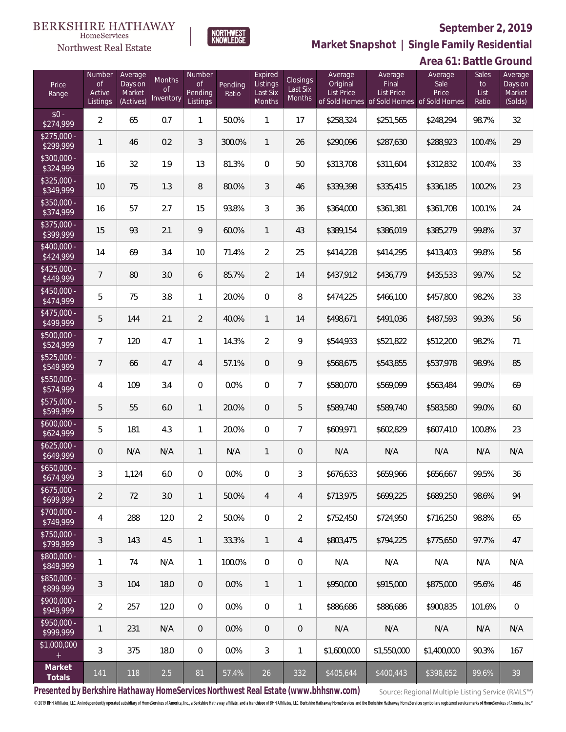

**Market Snapshot | Single Family Residential**

# **Area 61: Battle Ground**

| HomeServices                 |  |
|------------------------------|--|
| <b>Northwest Real Estate</b> |  |

| Price<br>Range            | Number<br><b>of</b><br>Active<br>Listings | Average<br>Days on<br>Market<br>(Actives) | Months<br>0f<br>Inventory | Number<br><b>of</b><br>Pending<br>Listings | Pending<br>Ratio | Expired<br>Listings<br>Last Six<br>Months | Closings<br>Last Six<br>Months | Average<br>Original<br>List Price | Average<br>Final<br>List Price<br>of Sold Homes of Sold Homes of Sold Homes | Average<br>Sale<br>Price | Sales<br>to<br>List<br>Ratio | Average<br>Days on<br>Market<br>(Solds) |
|---------------------------|-------------------------------------------|-------------------------------------------|---------------------------|--------------------------------------------|------------------|-------------------------------------------|--------------------------------|-----------------------------------|-----------------------------------------------------------------------------|--------------------------|------------------------------|-----------------------------------------|
| $$0 -$<br>\$274,999       | $\overline{2}$                            | 65                                        | 0.7                       | $\mathbf{1}$                               | 50.0%            | 1                                         | 17                             | \$258,324                         | \$251,565                                                                   | \$248,294                | 98.7%                        | 32                                      |
| $$275,000 -$<br>\$299,999 | $\mathbf{1}$                              | 46                                        | 0.2                       | 3                                          | 300.0%           | $\mathbf{1}$                              | 26                             | \$290,096                         | \$287,630                                                                   | \$288,923                | 100.4%                       | 29                                      |
| $$300,000 -$<br>\$324,999 | 16                                        | 32                                        | 1.9                       | 13                                         | 81.3%            | $\Omega$                                  | 50                             | \$313,708                         | \$311,604                                                                   | \$312,832                | 100.4%                       | 33                                      |
| $$325,000 -$<br>\$349,999 | 10                                        | 75                                        | 1.3                       | 8                                          | 80.0%            | 3                                         | 46                             | \$339,398                         | \$335,415                                                                   | \$336,185                | 100.2%                       | 23                                      |
| $$350,000 -$<br>\$374,999 | 16                                        | 57                                        | 2.7                       | 15                                         | 93.8%            | 3                                         | 36                             | \$364,000                         | \$361,381                                                                   | \$361,708                | 100.1%                       | 24                                      |
| $$375,000 -$<br>\$399,999 | 15                                        | 93                                        | 2.1                       | 9                                          | 60.0%            | $\mathbf{1}$                              | 43                             | \$389,154                         | \$386,019                                                                   | \$385,279                | 99.8%                        | 37                                      |
| $$400,000 -$<br>\$424,999 | 14                                        | 69                                        | 3.4                       | 10                                         | 71.4%            | $\overline{2}$                            | 25                             | \$414,228                         | \$414,295                                                                   | \$413,403                | 99.8%                        | 56                                      |
| $$425,000 -$<br>\$449,999 | $7\overline{ }$                           | 80                                        | 3.0                       | 6                                          | 85.7%            | $\overline{2}$                            | 14                             | \$437,912                         | \$436,779                                                                   | \$435,533                | 99.7%                        | 52                                      |
| $$450,000 -$<br>\$474,999 | 5                                         | 75                                        | 3.8                       | $\mathbf{1}$                               | 20.0%            | $\Omega$                                  | 8                              | \$474,225                         | \$466,100                                                                   | \$457,800                | 98.2%                        | 33                                      |
| $$475,000 -$<br>\$499,999 | 5                                         | 144                                       | 2.1                       | $\overline{2}$                             | 40.0%            | $\mathbf{1}$                              | 14                             | \$498,671                         | \$491,036                                                                   | \$487,593                | 99.3%                        | 56                                      |
| $$500,000 -$<br>\$524,999 | $\overline{7}$                            | 120                                       | 4.7                       | $\mathbf{1}$                               | 14.3%            | $\overline{2}$                            | 9                              | \$544,933                         | \$521,822                                                                   | \$512,200                | 98.2%                        | 71                                      |
| \$525,000 -<br>\$549,999  | $\overline{7}$                            | 66                                        | 4.7                       | $\overline{4}$                             | 57.1%            | $\mathbf{0}$                              | 9                              | \$568,675                         | \$543,855                                                                   | \$537,978                | 98.9%                        | 85                                      |
| $$550,000 -$<br>\$574,999 | 4                                         | 109                                       | 3.4                       | $\overline{0}$                             | 0.0%             | $\Omega$                                  | $\overline{7}$                 | \$580,070                         | \$569,099                                                                   | \$563,484                | 99.0%                        | 69                                      |
| $$575,000 -$<br>\$599,999 | 5                                         | 55                                        | 6.0                       | $\mathbf{1}$                               | 20.0%            | $\mathbf{0}$                              | 5                              | \$589,740                         | \$589,740                                                                   | \$583,580                | 99.0%                        | 60                                      |
| $$600,000 -$<br>\$624,999 | 5                                         | 181                                       | 4.3                       | $\mathbf{1}$                               | 20.0%            | $\Omega$                                  | $\overline{7}$                 | \$609,971                         | \$602,829                                                                   | \$607,410                | 100.8%                       | 23                                      |
| $$625,000 -$<br>\$649,999 | $\overline{0}$                            | N/A                                       | N/A                       | $\mathbf{1}$                               | N/A              | $\mathbf{1}$                              | 0                              | N/A                               | N/A                                                                         | N/A                      | N/A                          | N/A                                     |
| $$650,000 -$<br>\$674,999 | 3                                         | 1,124                                     | 6.0                       | $\overline{0}$                             | 0.0%             | $\overline{0}$                            | 3                              | \$676,633                         | \$659,966                                                                   | \$656,667                | 99.5%                        | 36                                      |
| $$675,000 -$<br>\$699,999 | $\overline{2}$                            | 72                                        | 3.0                       | $\mathbf{1}$                               | 50.0%            | $\overline{4}$                            | 4                              | \$713,975                         | \$699,225                                                                   | \$689,250                | 98.6%                        | 94                                      |
| \$700,000 -<br>\$749,999  | 4                                         | 288                                       | 12.0                      | $\overline{2}$                             | 50.0%            | $\mathbf 0$                               | $\overline{2}$                 | \$752,450                         | \$724,950                                                                   | \$716,250                | 98.8%                        | 65                                      |
| \$750,000 -<br>\$799,999  | $\sqrt{3}$                                | 143                                       | 4.5                       | $\mathbf{1}$                               | 33.3%            | $\mathbf{1}$                              | 4                              | \$803,475                         | \$794,225                                                                   | \$775,650                | 97.7%                        | 47                                      |
| $$800,000 -$<br>\$849,999 | 1                                         | 74                                        | N/A                       | $\mathbf{1}$                               | 100.0%           | $\mathbf 0$                               | $\mathbf 0$                    | N/A                               | N/A                                                                         | N/A                      | N/A                          | N/A                                     |
| \$850,000 -<br>\$899,999  | $\sqrt{3}$                                | 104                                       | 18.0                      | $\overline{0}$                             | 0.0%             | $\mathbf{1}$                              | $\mathbf{1}$                   | \$950,000                         | \$915,000                                                                   | \$875,000                | 95.6%                        | 46                                      |
| $$900,000 -$<br>\$949,999 | $\overline{2}$                            | 257                                       | 12.0                      | 0                                          | 0.0%             | $\mathbf 0$                               | 1                              | \$886,686                         | \$886,686                                                                   | \$900,835                | 101.6%                       | $\,0\,$                                 |
| $$950,000 -$<br>\$999,999 | 1                                         | 231                                       | N/A                       | $\overline{0}$                             | 0.0%             | $\theta$                                  | 0                              | N/A                               | N/A                                                                         | N/A                      | N/A                          | N/A                                     |
| \$1,000,000<br>$+$        | $\mathfrak{Z}$                            | 375                                       | 18.0                      | 0                                          | 0.0%             | $\mathfrak{Z}$                            | 1                              | \$1,600,000                       | \$1,550,000                                                                 | \$1,400,000              | 90.3%                        | 167                                     |
| Market<br>Totals          | 141                                       | 118                                       | 2.5                       | 81                                         | 57.4%            | 26                                        | 332                            | \$405,644                         | \$400,443                                                                   | \$398,652                | 99.6%                        | 39                                      |

**Presented by Berkshire Hathaway HomeServices Northwest Real Estate (www.bhhsnw.com)**

Source: Regional Multiple Listing Service (RMLS™)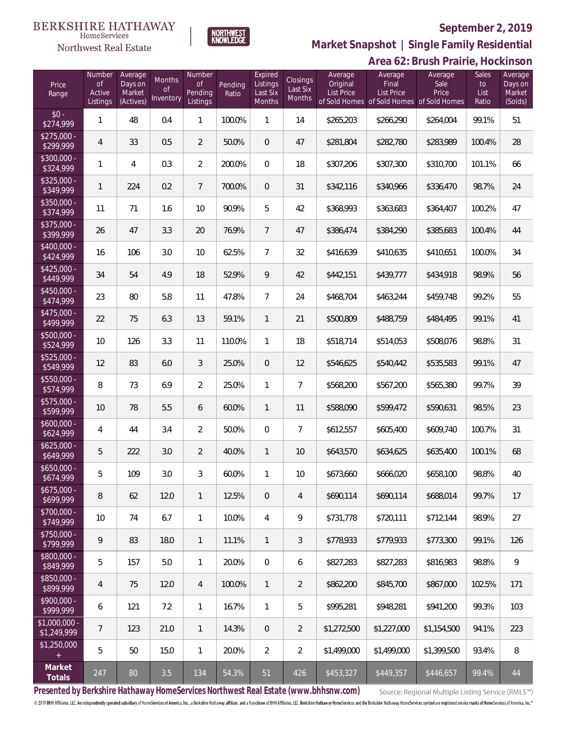# **BERKSHIRE HATHAWAY**

#### $\label{lem:sevices} \textsc{Home} \textsc{Service} \textsc{s}$ Northwest Real Estate



# **September 2, 2019**

**Market Snapshot | Single Family Residential**

|                               |                                           |                                           |                           |                                     |                  | Area 62: Brush Prairie, Hockinson         |                                |                                          |                                                                             |                          |                              |                                         |
|-------------------------------|-------------------------------------------|-------------------------------------------|---------------------------|-------------------------------------|------------------|-------------------------------------------|--------------------------------|------------------------------------------|-----------------------------------------------------------------------------|--------------------------|------------------------------|-----------------------------------------|
| Price<br>Range                | Number<br><b>of</b><br>Active<br>Listings | Average<br>Days on<br>Market<br>(Actives) | Months<br>0f<br>Inventory | Number<br>0f<br>Pending<br>Listings | Pending<br>Ratio | Expired<br>Listings<br>Last Six<br>Months | Closings<br>Last Six<br>Months | Average<br>Original<br><b>List Price</b> | Average<br>Final<br>List Price<br>of Sold Homes of Sold Homes of Sold Homes | Average<br>Sale<br>Price | Sales<br>to<br>List<br>Ratio | Average<br>Days on<br>Market<br>(Solds) |
| $$0 -$<br>\$274,999           | 1                                         | 48                                        | 0.4                       | $\mathbf{1}$                        | 100.0%           | $\mathbf{1}$                              | 14                             | \$265,203                                | \$266,290                                                                   | \$264,004                | 99.1%                        | 51                                      |
| $$275,000 -$<br>\$299,999     | 4                                         | 33                                        | 0.5                       | $\overline{2}$                      | 50.0%            | $\overline{0}$                            | 47                             | \$281,804                                | \$282,780                                                                   | \$283,989                | 100.4%                       | 28                                      |
| $$300,000 -$<br>\$324,999     | 1                                         | $\overline{4}$                            | 0.3                       | $\overline{2}$                      | 200.0%           | $\mathbf{0}$                              | 18                             | \$307,206                                | \$307,300                                                                   | \$310,700                | 101.1%                       | 66                                      |
| $$325,000 -$<br>\$349,999     | $\mathbf{1}$                              | 224                                       | 0.2                       | $\overline{7}$                      | 700.0%           | $\overline{0}$                            | 31                             | \$342,116                                | \$340,966                                                                   | \$336,470                | 98.7%                        | 24                                      |
| $$350,000 -$<br>\$374,999     | 11                                        | 71                                        | 1.6                       | 10                                  | 90.9%            | 5                                         | 42                             | \$368,993                                | \$363,683                                                                   | \$364,407                | 100.2%                       | 47                                      |
| $$375,000 -$<br>\$399,999     | 26                                        | 47                                        | 3.3                       | 20                                  | 76.9%            | $\overline{7}$                            | 47                             | \$386,474                                | \$384,290                                                                   | \$385,683                | 100.4%                       | 44                                      |
| $$400,000 -$<br>\$424,999     | 16                                        | 106                                       | 3.0                       | 10                                  | 62.5%            | $\overline{7}$                            | 32                             | \$416,639                                | \$410,635                                                                   | \$410,651                | 100.0%                       | 34                                      |
| $$425,000 -$<br>\$449,999     | 34                                        | 54                                        | 4.9                       | 18                                  | 52.9%            | 9                                         | 42                             | \$442,151                                | \$439,777                                                                   | \$434,918                | 98.9%                        | 56                                      |
| $$450,000 -$<br>\$474,999     | 23                                        | 80                                        | 5.8                       | 11                                  | 47.8%            | $\overline{7}$                            | 24                             | \$468,704                                | \$463,244                                                                   | \$459,748                | 99.2%                        | 55                                      |
| $$475,000 -$<br>\$499,999     | 22                                        | 75                                        | 6.3                       | 13                                  | 59.1%            | $\mathbf{1}$                              | 21                             | \$500,809                                | \$488,759                                                                   | \$484,495                | 99.1%                        | 41                                      |
| $$500,000 -$<br>\$524,999     | 10                                        | 126                                       | 3.3                       | 11                                  | 110.0%           | 1                                         | 18                             | \$518,714                                | \$514,053                                                                   | \$508,076                | 98.8%                        | 31                                      |
| $$525,000 -$<br>\$549,999     | 12                                        | 83                                        | 6.0                       | $\mathfrak{Z}$                      | 25.0%            | $\theta$                                  | 12                             | \$546,625                                | \$540,442                                                                   | \$535,583                | 99.1%                        | 47                                      |
| $$550,000 -$<br>\$574,999     | 8                                         | 73                                        | 6.9                       | $\overline{2}$                      | 25.0%            | 1                                         | 7                              | \$568,200                                | \$567,200                                                                   | \$565,380                | 99.7%                        | 39                                      |
| \$575,000 -<br>\$599,999      | 10                                        | 78                                        | 5.5                       | 6                                   | 60.0%            | $\mathbf{1}$                              | 11                             | \$588,090                                | \$599,472                                                                   | \$590,631                | 98.5%                        | 23                                      |
| $$600,000 -$<br>\$624,999     | 4                                         | 44                                        | 3.4                       | $\overline{2}$                      | 50.0%            | $\mathbf 0$                               | 7                              | \$612,557                                | \$605,400                                                                   | \$609,740                | 100.7%                       | 31                                      |
| $$625,000 -$<br>\$649,999     | 5                                         | 222                                       | 3.0                       | $\overline{2}$                      | 40.0%            | $\mathbf{1}$                              | 10                             | \$643,570                                | \$634,625                                                                   | \$635,400                | 100.1%                       | 68                                      |
| \$650,000.<br>\$674,999       | 5                                         | 109                                       | 3.0                       | 3                                   | 60.0%            | 1                                         | 10                             | \$673,660                                | \$666,020                                                                   | \$658,100                | 98.8%                        | 40                                      |
| $$675,000 -$<br>\$699,999     | 8                                         | 62                                        | 12.0                      | $\mathbf{1}$                        | 12.5%            | $\overline{0}$                            | 4                              | \$690,114                                | \$690,114                                                                   | \$688,014                | 99.7%                        | 17                                      |
| $$700.000 -$<br>\$749,999     | 10                                        | 74                                        | 6.7                       | $\mathbf{1}$                        | 10.0%            | $\overline{4}$                            | 9                              | \$731,778                                | \$720,111                                                                   | \$712,144                | 98.9%                        | 27                                      |
| $$750,000 -$<br>\$799,999     | 9                                         | 83                                        | 18.0                      | $\mathbf{1}$                        | 11.1%            | $\mathbf{1}$                              | 3                              | \$778,933                                | \$779,933                                                                   | \$773,300                | 99.1%                        | 126                                     |
| $$800,000 -$<br>\$849,999     | 5                                         | 157                                       | 5.0                       | $\mathbf{1}$                        | 20.0%            | $\mathbf{0}$                              | 6                              | \$827,283                                | \$827,283                                                                   | \$816,983                | 98.8%                        | $\mathcal{G}$                           |
| \$850,000 -<br>\$899,999      | 4                                         | 75                                        | 12.0                      | $\overline{4}$                      | 100.0%           | $\mathbf{1}$                              | $\overline{2}$                 | \$862,200                                | \$845,700                                                                   | \$867,000                | 102.5%                       | 171                                     |
| $$900.000 -$<br>\$999,999     | 6                                         | 121                                       | 7.2                       | $\mathbf{1}$                        | 16.7%            | $\mathbf{1}$                              | 5                              | \$995,281                                | \$948,281                                                                   | \$941,200                | 99.3%                        | 103                                     |
| $$1,000,000$ -<br>\$1,249,999 | 7                                         | 123                                       | 21.0                      | $\mathbf{1}$                        | 14.3%            | $\overline{0}$                            | $\overline{2}$                 | \$1,272,500                              | \$1,227,000                                                                 | \$1,154,500              | 94.1%                        | 223                                     |
| \$1,250,000<br>$^{+}$         | 5                                         | 50                                        | 15.0                      | $\mathbf{1}$                        | 20.0%            | $\overline{2}$                            | $\overline{2}$                 | \$1,499,000                              | \$1,499,000                                                                 | \$1,399,500              | 93.4%                        | 8                                       |
| Market<br>Totals              | 247                                       | 80                                        | 3.5                       | 134                                 | 54.3%            | 51                                        | 426                            | \$453,327                                | \$449,357                                                                   | \$446,657                | 99.4%                        | 44                                      |

**Presented by Berkshire Hathaway HomeServices Northwest Real Estate (www.bhhsnw.com)**

Source: Regional Multiple Listing Service (RMLS™)